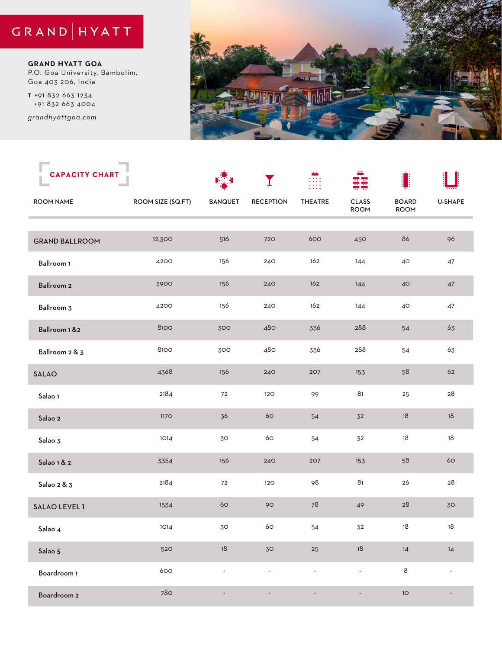## GRAND | HYATT

**GRAND HYATT GOA** P.O. Goa University, Bambolim, Goa 403 206, India

*grandhyattgoa.com* **T** +91 832 663 1234 +91 832 663 4004



| <b>CAPACITY CHART</b> |                   |                | I                |                          |                             | 1                    |                          |
|-----------------------|-------------------|----------------|------------------|--------------------------|-----------------------------|----------------------|--------------------------|
| <b>ROOM NAME</b>      | ROOM SIZE (SQ.FT) | <b>BANQUET</b> | <b>RECEPTION</b> | <b>THEATRE</b>           | <b>CLASS</b><br><b>ROOM</b> | <b>BOARD</b><br>ROOM | <b>U-SHAPE</b>           |
|                       |                   |                |                  |                          |                             |                      |                          |
| <b>GRAND BALLROOM</b> | 12,300            | 516            | 720              | 600                      | 450                         | 86                   | 96                       |
| Ballroom 1            | 4200              | 156            | 240              | 162                      | 144                         | 40                   | $47\,$                   |
| Ballroom 2            | 3900              | 156            | 240              | 162                      | 144                         | 40                   | 47                       |
| Ballroom 3            | 4200              | 156            | 240              | 162                      | 144                         | 40                   | $47\,$                   |
| Ballroom 1 &2         | 8100              | 300            | 480              | 336                      | 288                         | 54                   | 63                       |
| Ballroom 2 & 3        | 8100              | 300            | 480              | 336                      | 288                         | 54                   | 63                       |
| <b>SALAO</b>          | 4368              | 156            | 240              | 207                      | 153                         | 58                   | 62                       |
| Salao 1               | 2184              | $72\,$         | 120              | 99                       | 81                          | 25                   | 28                       |
| Salao 2               | 1170              | 36             | 60               | 54                       | 32                          | 18                   | $18$                     |
| Salao 3               | 1014              | 30             | 60               | 54                       | 32                          | 18                   | 18                       |
| Salao 1 & 2           | 3354              | 156            | 240              | 207                      | 153                         | 58                   | 60                       |
| Salao 2 & 3           | 2184              | $72\,$         | 120              | 98                       | 81                          | 26                   | 28                       |
| SALAO LEVEL 1         | 1534              | $60$           | 90               | $78\,$                   | 49                          | 28                   | 30                       |
| Salao 4               | 1014              | 30             | 60               | 54                       | 32                          | 18                   | 18                       |
| Salao 5               | 520               | 18             | 30               | 25                       | $18\,$                      | 14                   | 14                       |
| Boardroom 1           | 600               | $\blacksquare$ | $\blacksquare$   | $\overline{\phantom{a}}$ | $\blacksquare$              | $\,8\,$              | $\overline{\phantom{a}}$ |
| Boardroom 2           | <b>780</b>        |                |                  |                          |                             | $10$                 |                          |